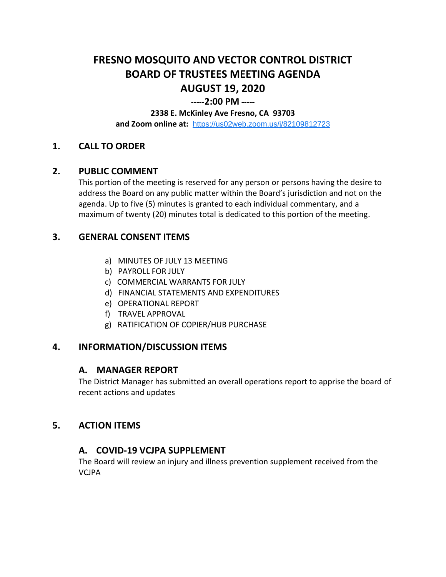# **FRESNO MOSQUITO AND VECTOR CONTROL DISTRICT BOARD OF TRUSTEES MEETING AGENDA AUGUST 19, 2020**

## **-----2:00 PM -----**

#### **2338 E. McKinley Ave Fresno, CA 93703**

**and Zoom online at:** <https://us02web.zoom.us/j/82109812723>

## **1. CALL TO ORDER**

#### **2. PUBLIC COMMENT**

This portion of the meeting is reserved for any person or persons having the desire to address the Board on any public matter within the Board's jurisdiction and not on the agenda. Up to five (5) minutes is granted to each individual commentary, and a maximum of twenty (20) minutes total is dedicated to this portion of the meeting.

## **3. GENERAL CONSENT ITEMS**

- a) MINUTES OF JULY 13 MEETING
- b) PAYROLL FOR JULY
- c) COMMERCIAL WARRANTS FOR JULY
- d) FINANCIAL STATEMENTS AND EXPENDITURES
- e) OPERATIONAL REPORT
- f) TRAVEL APPROVAL
- g) RATIFICATION OF COPIER/HUB PURCHASE

## **4. INFORMATION/DISCUSSION ITEMS**

#### **A. MANAGER REPORT**

The District Manager has submitted an overall operations report to apprise the board of recent actions and updates

#### **5. ACTION ITEMS**

## **A. COVID-19 VCJPA SUPPLEMENT**

The Board will review an injury and illness prevention supplement received from the VCJPA